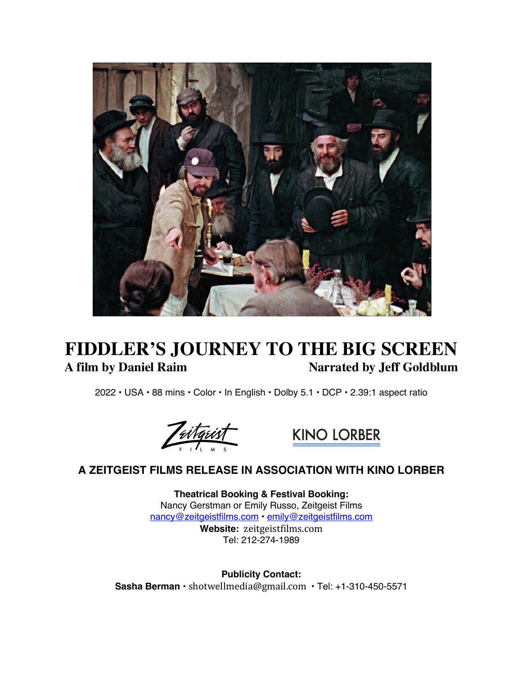

# **FIDDLER'S JOURNEY TO THE BIG SCREEN**<br>A film by Daniel Raim Marrated by Jeff Goldblum **Narrated by Jeff Goldblum**

2022 • USA • 88 mins • Color • In English • Dolby 5.1 • DCP • 2.39:1 aspect ratio





# **A ZEITGEIST FILMS RELEASE IN ASSOCIATION WITH KINO LORBER**

**Theatrical Booking & Festival Booking:** Nancy Gerstman or Emily Russo, Zeitgeist Films nancy@zeitgeistfilms.com • emily@zeitgeistfilms.com **Website:** zeitgeistfilms.com

Tel: 212-274-1989

**Publicity Contact: Sasha Berman** • shotwellmedia@gmail.com • Tel: +1-310-450-5571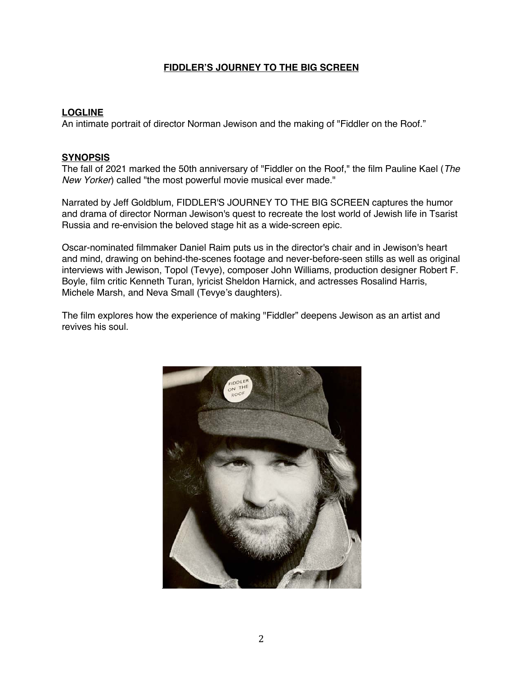### **LOGLINE**

An intimate portrait of director Norman Jewison and the making of "Fiddler on the Roof."

#### **SYNOPSIS**

The fall of 2021 marked the 50th anniversary of "Fiddler on the Roof," the film Pauline Kael (*The New Yorker*) called "the most powerful movie musical ever made."

Narrated by Jeff Goldblum, FIDDLER'S JOURNEY TO THE BIG SCREEN captures the humor and drama of director Norman Jewison's quest to recreate the lost world of Jewish life in Tsarist Russia and re-envision the beloved stage hit as a wide-screen epic.

Oscar-nominated filmmaker Daniel Raim puts us in the director's chair and in Jewison's heart and mind, drawing on behind-the-scenes footage and never-before-seen stills as well as original interviews with Jewison, Topol (Tevye), composer John Williams, production designer Robert F. Boyle, film critic Kenneth Turan, lyricist Sheldon Harnick, and actresses Rosalind Harris, Michele Marsh, and Neva Small (Tevye's daughters).

The film explores how the experience of making "Fiddler" deepens Jewison as an artist and revives his soul.

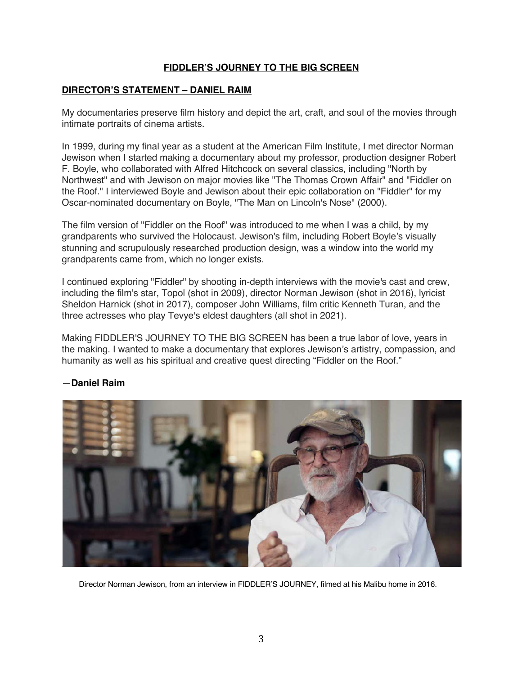#### **DIRECTOR'S STATEMENT – DANIEL RAIM**

My documentaries preserve film history and depict the art, craft, and soul of the movies through intimate portraits of cinema artists.

In 1999, during my final year as a student at the American Film Institute, I met director Norman Jewison when I started making a documentary about my professor, production designer Robert F. Boyle, who collaborated with Alfred Hitchcock on several classics, including "North by Northwest" and with Jewison on major movies like "The Thomas Crown Affair" and "Fiddler on the Roof." I interviewed Boyle and Jewison about their epic collaboration on "Fiddler" for my Oscar-nominated documentary on Boyle, "The Man on Lincoln's Nose" (2000).

The film version of "Fiddler on the Roof" was introduced to me when I was a child, by my grandparents who survived the Holocaust. Jewison's film, including Robert Boyle's visually stunning and scrupulously researched production design, was a window into the world my grandparents came from, which no longer exists.

I continued exploring "Fiddler" by shooting in-depth interviews with the movie's cast and crew, including the film's star, Topol (shot in 2009), director Norman Jewison (shot in 2016), lyricist Sheldon Harnick (shot in 2017), composer John Williams, film critic Kenneth Turan, and the three actresses who play Tevye's eldest daughters (all shot in 2021).

Making FIDDLER'S JOURNEY TO THE BIG SCREEN has been a true labor of love, years in the making. I wanted to make a documentary that explores Jewison's artistry, compassion, and humanity as well as his spiritual and creative quest directing "Fiddler on the Roof."



## —**Daniel Raim**

Director Norman Jewison, from an interview in FIDDLER'S JOURNEY, filmed at his Malibu home in 2016.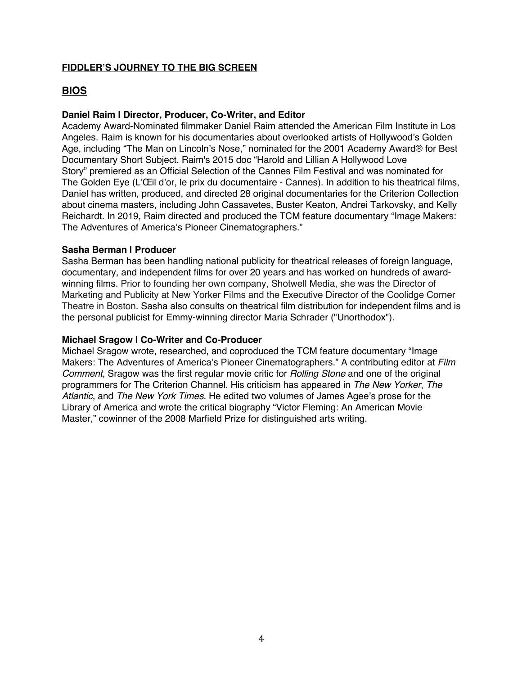## **BIOS**

## **Daniel Raim | Director, Producer, Co-Writer, and Editor**

Academy Award-Nominated filmmaker Daniel Raim attended the American Film Institute in Los Angeles. Raim is known for his documentaries about overlooked artists of Hollywood's Golden Age, including "The Man on Lincoln's Nose," nominated for the 2001 Academy Award® for Best Documentary Short Subject. Raim's 2015 doc "Harold and Lillian A Hollywood Love Story" premiered as an Official Selection of the Cannes Film Festival and was nominated for The Golden Eye (L'Œil d'or, le prix du documentaire - Cannes). In addition to his theatrical films, Daniel has written, produced, and directed 28 original documentaries for the Criterion Collection about cinema masters, including John Cassavetes, Buster Keaton, Andrei Tarkovsky, and Kelly Reichardt. In 2019, Raim directed and produced the TCM feature documentary "Image Makers: The Adventures of America's Pioneer Cinematographers."

#### **Sasha Berman | Producer**

Sasha Berman has been handling national publicity for theatrical releases of foreign language, documentary, and independent films for over 20 years and has worked on hundreds of awardwinning films. Prior to founding her own company, Shotwell Media, she was the Director of Marketing and Publicity at New Yorker Films and the Executive Director of the Coolidge Corner Theatre in Boston. Sasha also consults on theatrical film distribution for independent films and is the personal publicist for Emmy-winning director Maria Schrader ("Unorthodox").

#### **Michael Sragow | Co-Writer and Co-Producer**

Michael Sragow wrote, researched, and coproduced the TCM feature documentary "Image Makers: The Adventures of America's Pioneer Cinematographers." A contributing editor at *Film Comment*, Sragow was the first regular movie critic for *Rolling Stone* and one of the original programmers for The Criterion Channel. His criticism has appeared in *The New Yorker*, *The Atlantic*, and *The New York Times*. He edited two volumes of James Agee's prose for the Library of America and wrote the critical biography "Victor Fleming: An American Movie Master," cowinner of the 2008 Marfield Prize for distinguished arts writing.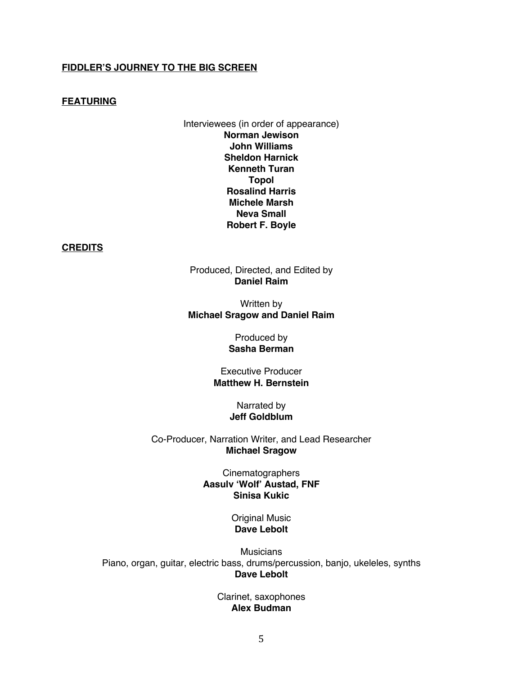#### **FEATURING**

Interviewees (in order of appearance) **Norman Jewison John Williams Sheldon Harnick Kenneth Turan Topol Rosalind Harris Michele Marsh Neva Small Robert F. Boyle**

**CREDITS**

Produced, Directed, and Edited by **Daniel Raim**

Written by **Michael Sragow and Daniel Raim**

> Produced by **Sasha Berman**

Executive Producer **Matthew H. Bernstein**

> Narrated by **Jeff Goldblum**

Co-Producer, Narration Writer, and Lead Researcher **Michael Sragow**

> **Cinematographers Aasulv 'Wolf' Austad, FNF Sinisa Kukic**

> > Original Music **Dave Lebolt**

**Musicians** Piano, organ, guitar, electric bass, drums/percussion, banjo, ukeleles, synths **Dave Lebolt**

> Clarinet, saxophones **Alex Budman**